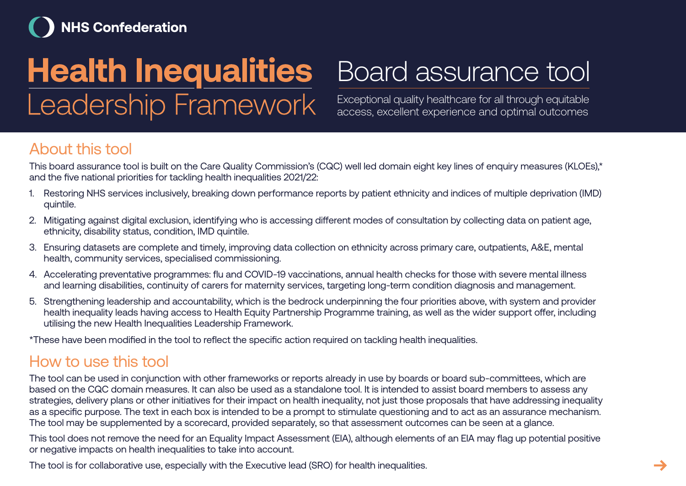## **NHS Confederation**

# **Health Inequalities** Leadership Framework

## Board assurance tool

Exceptional quality healthcare for all through equitable access, excellent experience and optimal outcomes

#### About this tool

This board assurance tool is built on the Care Quality Commission's (CQC) well led domain eight key lines of enquiry measures (KLOEs),\* and the five national priorities for tackling health inequalities 2021/22:

- 1. Restoring NHS services inclusively, breaking down performance reports by patient ethnicity and indices of multiple deprivation (IMD) quintile.
- 2. Mitigating against digital exclusion, identifying who is accessing different modes of consultation by collecting data on patient age, ethnicity, disability status, condition, IMD quintile.
- 3. Ensuring datasets are complete and timely, improving data collection on ethnicity across primary care, outpatients, A&E, mental health, community services, specialised commissioning.
- 4. Accelerating preventative programmes: flu and COVID-19 vaccinations, annual health checks for those with severe mental illness and learning disabilities, continuity of carers for maternity services, targeting long-term condition diagnosis and management.
- 5. Strengthening leadership and accountability, which is the bedrock underpinning the four priorities above, with system and provider health inequality leads having access to Health Equity Partnership Programme training, as well as the wider support offer, including utilising the new Health Inequalities Leadership Framework.

\*These have been modified in the tool to reflect the specific action required on tackling health inequalities.

#### How to use this tool

The tool can be used in conjunction with other frameworks or reports already in use by boards or board sub-committees, which are based on the CQC domain measures. It can also be used as a standalone tool. It is intended to assist board members to assess any strategies, delivery plans or other initiatives for their impact on health inequality, not just those proposals that have addressing inequality as a specific purpose. The text in each box is intended to be a prompt to stimulate questioning and to act as an assurance mechanism. The tool may be supplemented by a scorecard, provided separately, so that assessment outcomes can be seen at a glance.

This tool does not remove the need for an Equality Impact Assessment (EIA), although elements of an EIA may flag up potential positive or negative impacts on health inequalities to take into account.

The tool is for collaborative use, especially with the Executive lead (SRO) for health inequalities.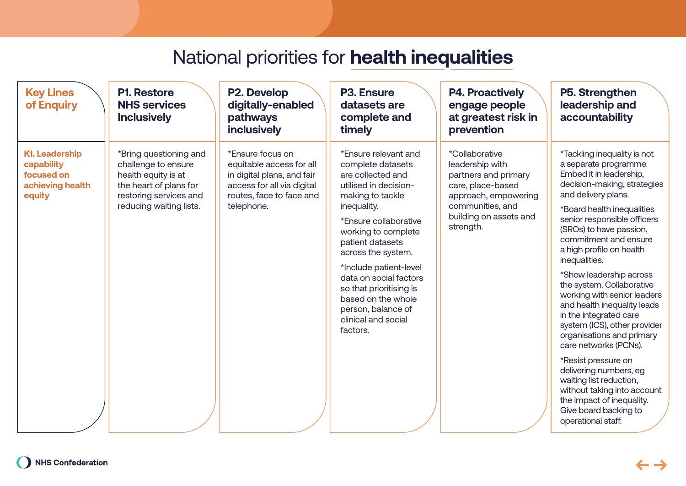| <b>Key Lines</b><br>of Enquiry                                                  | <b>P1. Restore</b><br><b>NHS services</b><br><b>Inclusively</b>                                                                                     | P2. Develop<br>digitally-enabled<br>pathways<br><b>inclusively</b>                                                                                 | <b>P3. Ensure</b><br>datasets are<br>complete and<br>timely                                                                                                                                                                                                                                                                                                                        | <b>P4. Proactively</b><br>engage people<br>at greatest risk in<br>prevention                                                                                             | P5. Strengthen<br>leadership and<br>accountability                                                                                                                                                                                                                                                                                                                                                                                                                                                                                        |
|---------------------------------------------------------------------------------|-----------------------------------------------------------------------------------------------------------------------------------------------------|----------------------------------------------------------------------------------------------------------------------------------------------------|------------------------------------------------------------------------------------------------------------------------------------------------------------------------------------------------------------------------------------------------------------------------------------------------------------------------------------------------------------------------------------|--------------------------------------------------------------------------------------------------------------------------------------------------------------------------|-------------------------------------------------------------------------------------------------------------------------------------------------------------------------------------------------------------------------------------------------------------------------------------------------------------------------------------------------------------------------------------------------------------------------------------------------------------------------------------------------------------------------------------------|
| <b>K1. Leadership</b><br>capability<br>focused on<br>achieving health<br>equity | *Bring questioning and<br>challenge to ensure<br>health equity is at<br>the heart of plans for<br>restoring services and<br>reducing waiting lists. | *Ensure focus on<br>equitable access for all<br>in digital plans, and fair<br>access for all via digital<br>routes, face to face and<br>telephone. | *Ensure relevant and<br>complete datasets<br>are collected and<br>utilised in decision-<br>making to tackle<br>inequality.<br>*Ensure collaborative<br>working to complete<br>patient datasets<br>across the system.<br>*Include patient-level<br>data on social factors<br>so that prioritising is<br>based on the whole<br>person, balance of<br>clinical and social<br>factors. | <i>*Collaborative</i><br>leadership with<br>partners and primary<br>care, place-based<br>approach, empowering<br>communities, and<br>building on assets and<br>strength. | *Tackling inequality is not<br>a separate programme.<br>Embed it in leadership,<br>decision-making, strategies<br>and delivery plans.<br>*Board health inequalities<br>senior responsible officers<br>(SROs) to have passion,<br>commitment and ensure<br>a high profile on health<br>inequalities.<br>*Show leadership across<br>the system. Collaborative<br>working with senior leaders<br>and health inequality leads<br>in the integrated care<br>system (ICS), other provider<br>organisations and primary<br>care networks (PCNs). |
|                                                                                 |                                                                                                                                                     |                                                                                                                                                    |                                                                                                                                                                                                                                                                                                                                                                                    |                                                                                                                                                                          | *Resist pressure on<br>delivering numbers, eg<br>waiting list reduction,<br>without taking into account<br>the impact of inequality.<br>Give board backing to<br>operational staff.                                                                                                                                                                                                                                                                                                                                                       |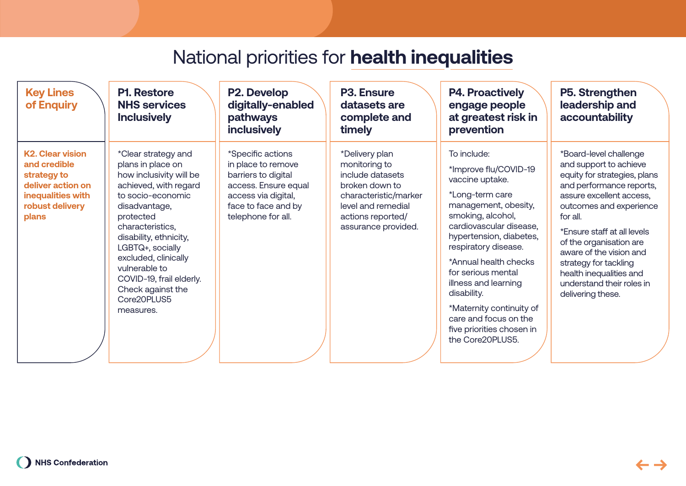| <b>Key Lines</b><br>of Enquiry                                                                                               | <b>P1. Restore</b><br><b>NHS services</b><br><b>Inclusively</b>                                                                                                                                                                                                                                                                         | P2. Develop<br>digitally-enabled<br>pathways<br><b>inclusively</b>                                                                                         | <b>P3. Ensure</b><br>datasets are<br>complete and<br>timely                                                                                                      | <b>P4. Proactively</b><br>engage people<br>at greatest risk in<br>prevention                                                                                                                                                                                                                                                                                                                      | P5. Strengthen<br>leadership and<br>accountability                                                                                                                                                                                                                                                                                                                         |
|------------------------------------------------------------------------------------------------------------------------------|-----------------------------------------------------------------------------------------------------------------------------------------------------------------------------------------------------------------------------------------------------------------------------------------------------------------------------------------|------------------------------------------------------------------------------------------------------------------------------------------------------------|------------------------------------------------------------------------------------------------------------------------------------------------------------------|---------------------------------------------------------------------------------------------------------------------------------------------------------------------------------------------------------------------------------------------------------------------------------------------------------------------------------------------------------------------------------------------------|----------------------------------------------------------------------------------------------------------------------------------------------------------------------------------------------------------------------------------------------------------------------------------------------------------------------------------------------------------------------------|
| <b>K2. Clear vision</b><br>and credible<br>strategy to<br>deliver action on<br>inequalities with<br>robust delivery<br>plans | *Clear strategy and<br>plans in place on<br>how inclusivity will be<br>achieved, with regard<br>to socio-economic<br>disadvantage,<br>protected<br>characteristics,<br>disability, ethnicity,<br>LGBTQ+, socially<br>excluded, clinically<br>vulnerable to<br>COVID-19, frail elderly.<br>Check against the<br>Core20PLUS5<br>measures. | *Specific actions<br>in place to remove<br>barriers to digital<br>access. Ensure equal<br>access via digital,<br>face to face and by<br>telephone for all. | *Delivery plan<br>monitoring to<br>include datasets<br>broken down to<br>characteristic/marker<br>level and remedial<br>actions reported/<br>assurance provided. | To include:<br>*Improve flu/COVID-19<br>vaccine uptake.<br>*Long-term care<br>management, obesity,<br>smoking, alcohol,<br>cardiovascular disease,<br>hypertension, diabetes,<br>respiratory disease.<br>*Annual health checks<br>for serious mental<br>illness and learning<br>disability.<br>*Maternity continuity of<br>care and focus on the<br>five priorities chosen in<br>the Core20PLUS5. | *Board-level challenge<br>and support to achieve<br>equity for strategies, plans<br>and performance reports,<br>assure excellent access,<br>outcomes and experience<br>for all.<br>*Ensure staff at all levels<br>of the organisation are<br>aware of the vision and<br>strategy for tackling<br>health inequalities and<br>understand their roles in<br>delivering these. |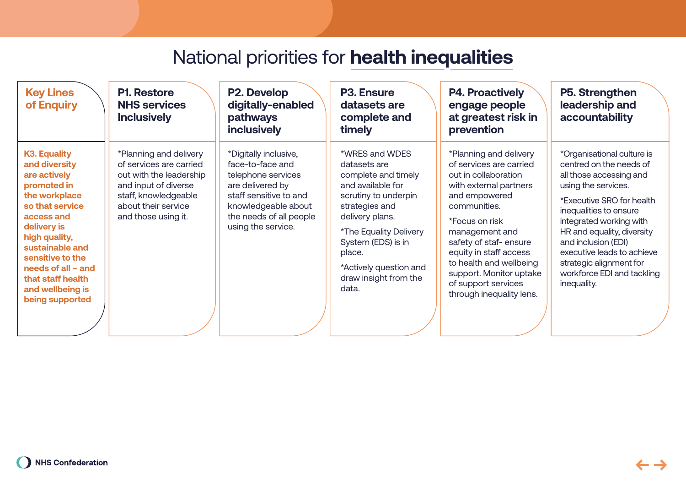| <b>Key Lines</b><br>of Enquiry                                                                                                                                                                                                                                                   | <b>P1. Restore</b><br><b>NHS services</b><br><b>Inclusively</b>                                                                                                            | P2. Develop<br>digitally-enabled<br>pathways<br><b>inclusively</b>                                                                                                                    | <b>P3. Ensure</b><br>datasets are<br>complete and<br>timely                                                                                                                                                                                                   | <b>P4. Proactively</b><br>engage people<br>at greatest risk in<br>prevention                                                                                                                                                                                                                                                         | P5. Strengthen<br>leadership and<br>accountability                                                                                                                                                                                                                                                                                                   |
|----------------------------------------------------------------------------------------------------------------------------------------------------------------------------------------------------------------------------------------------------------------------------------|----------------------------------------------------------------------------------------------------------------------------------------------------------------------------|---------------------------------------------------------------------------------------------------------------------------------------------------------------------------------------|---------------------------------------------------------------------------------------------------------------------------------------------------------------------------------------------------------------------------------------------------------------|--------------------------------------------------------------------------------------------------------------------------------------------------------------------------------------------------------------------------------------------------------------------------------------------------------------------------------------|------------------------------------------------------------------------------------------------------------------------------------------------------------------------------------------------------------------------------------------------------------------------------------------------------------------------------------------------------|
| <b>K3. Equality</b><br>and diversity<br>are actively<br>promoted in<br>the workplace<br>so that service<br>access and<br>delivery is<br>high quality,<br>sustainable and<br>sensitive to the<br>needs of all $-$ and<br>that staff health<br>and wellbeing is<br>being supported | *Planning and delivery<br>of services are carried<br>out with the leadership<br>and input of diverse<br>staff, knowledgeable<br>about their service<br>and those using it. | *Digitally inclusive,<br>face-to-face and<br>telephone services<br>are delivered by<br>staff sensitive to and<br>knowledgeable about<br>the needs of all people<br>using the service. | *WRES and WDES<br>datasets are<br>complete and timely<br>and available for<br>scrutiny to underpin<br>strategies and<br>delivery plans.<br>*The Equality Delivery<br>System (EDS) is in<br>place.<br>*Actively question and<br>draw insight from the<br>data. | *Planning and delivery<br>of services are carried<br>out in collaboration<br>with external partners<br>and empowered<br>communities.<br>*Focus on risk<br>management and<br>safety of staf-ensure<br>equity in staff access<br>to health and wellbeing<br>support. Monitor uptake<br>of support services<br>through inequality lens. | *Organisational culture is<br>centred on the needs of<br>all those accessing and<br>using the services.<br>*Executive SRO for health<br>inequalities to ensure<br>integrated working with<br>HR and equality, diversity<br>and inclusion (EDI)<br>executive leads to achieve<br>strategic alignment for<br>workforce EDI and tackling<br>inequality. |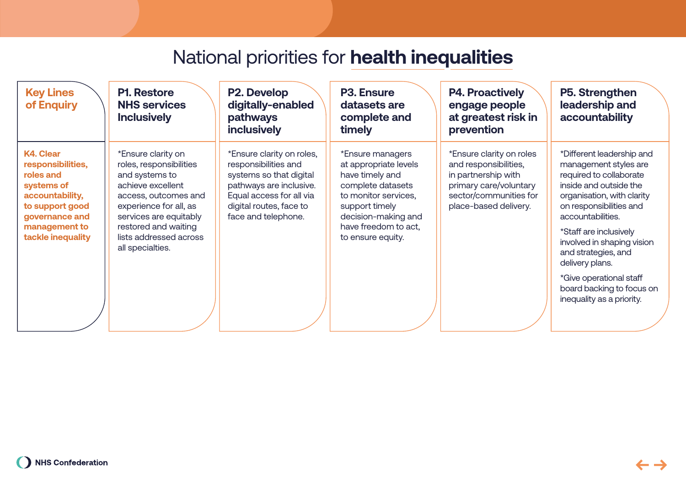| <b>Key Lines</b><br>of Enquiry                                                                                           | <b>P1. Restore</b><br><b>NHS services</b><br><b>Inclusively</b>                                                                                                  | P2. Develop<br>digitally-enabled<br>pathways<br>inclusively                                                                                                                           | <b>P3. Ensure</b><br>datasets are<br>complete and<br>timely                                                                                        | <b>P4. Proactively</b><br>engage people<br>at greatest risk in<br>prevention                                                                                               | P5. Strengthen<br>leadership and<br>accountability                                                                                                               |
|--------------------------------------------------------------------------------------------------------------------------|------------------------------------------------------------------------------------------------------------------------------------------------------------------|---------------------------------------------------------------------------------------------------------------------------------------------------------------------------------------|----------------------------------------------------------------------------------------------------------------------------------------------------|----------------------------------------------------------------------------------------------------------------------------------------------------------------------------|------------------------------------------------------------------------------------------------------------------------------------------------------------------|
| <b>K4. Clear</b><br>responsibilities,<br>roles and<br>systems of<br>accountability,<br>to support good<br>governance and | *Ensure clarity on<br>roles, responsibilities<br>and systems to<br>achieve excellent<br>access, outcomes and<br>experience for all, as<br>services are equitably | *Ensure clarity on roles,<br>responsibilities and<br>systems so that digital<br>pathways are inclusive.<br>Equal access for all via<br>digital routes, face to<br>face and telephone. | *Ensure managers<br>at appropriate levels<br>have timely and<br>complete datasets<br>to monitor services,<br>support timely<br>decision-making and | *Ensure clarity on roles<br>and responsibilities,<br>in partnership with<br>primary care/voluntary<br>sector/communities for<br>place-based delivery.<br>accountabilities. | *Different leadership and<br>management styles are<br>required to collaborate<br>inside and outside the<br>organisation, with clarity<br>on responsibilities and |
| management to<br>tackle inequality                                                                                       | restored and waiting<br>lists addressed across<br>all specialties.                                                                                               |                                                                                                                                                                                       | have freedom to act,<br>to ensure equity.                                                                                                          |                                                                                                                                                                            | *Staff are inclusively<br>involved in shaping vision<br>and strategies, and<br>delivery plans.                                                                   |
|                                                                                                                          |                                                                                                                                                                  |                                                                                                                                                                                       |                                                                                                                                                    |                                                                                                                                                                            | *Give operational staff<br>board backing to focus on<br>inequality as a priority.                                                                                |
|                                                                                                                          |                                                                                                                                                                  |                                                                                                                                                                                       |                                                                                                                                                    |                                                                                                                                                                            |                                                                                                                                                                  |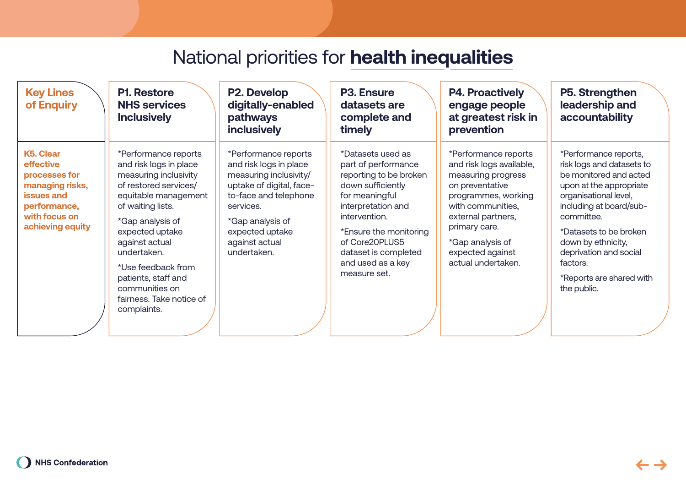| <b>Key Lines</b><br>of Enquiry                                                                                                | <b>P1. Restore</b><br><b>NHS services</b><br><b>Inclusively</b>                                                                                                                                                                                                                                                                 | P2. Develop<br>digitally-enabled<br>pathways<br>inclusively                                                                                                                                                        | <b>P3. Ensure</b><br>datasets are<br>complete and<br>timely                                                                                                                                                                                               | <b>P4. Proactively</b><br>engage people<br>at greatest risk in<br>prevention                                                                                                                                                               | P5. Strengthen<br>leadership and<br>accountability                                                                                                                                                                                                                                                         |
|-------------------------------------------------------------------------------------------------------------------------------|---------------------------------------------------------------------------------------------------------------------------------------------------------------------------------------------------------------------------------------------------------------------------------------------------------------------------------|--------------------------------------------------------------------------------------------------------------------------------------------------------------------------------------------------------------------|-----------------------------------------------------------------------------------------------------------------------------------------------------------------------------------------------------------------------------------------------------------|--------------------------------------------------------------------------------------------------------------------------------------------------------------------------------------------------------------------------------------------|------------------------------------------------------------------------------------------------------------------------------------------------------------------------------------------------------------------------------------------------------------------------------------------------------------|
| K5. Clear<br>effective<br>processes for<br>managing risks,<br>issues and<br>performance,<br>with focus on<br>achieving equity | *Performance reports<br>and risk logs in place<br>measuring inclusivity<br>of restored services/<br>equitable management<br>of waiting lists.<br>*Gap analysis of<br>expected uptake<br>against actual<br>undertaken.<br>*Use feedback from<br>patients, staff and<br>communities on<br>fairness. Take notice of<br>complaints. | *Performance reports<br>and risk logs in place<br>measuring inclusivity/<br>uptake of digital, face-<br>to-face and telephone<br>services.<br>*Gap analysis of<br>expected uptake<br>against actual<br>undertaken. | *Datasets used as<br>part of performance<br>reporting to be broken<br>down sufficiently<br>for meaningful<br>interpretation and<br>intervention.<br>*Ensure the monitoring<br>of Core20PLUS5<br>dataset is completed<br>and used as a key<br>measure set. | *Performance reports<br>and risk logs available,<br>measuring progress<br>on preventative<br>programmes, working<br>with communities,<br>external partners,<br>primary care.<br>*Gap analysis of<br>expected against<br>actual undertaken. | *Performance reports,<br>risk logs and datasets to<br>be monitored and acted<br>upon at the appropriate<br>organisational level,<br>including at board/sub-<br>committee.<br>*Datasets to be broken<br>down by ethnicity,<br>deprivation and social<br>factors.<br>*Reports are shared with<br>the public. |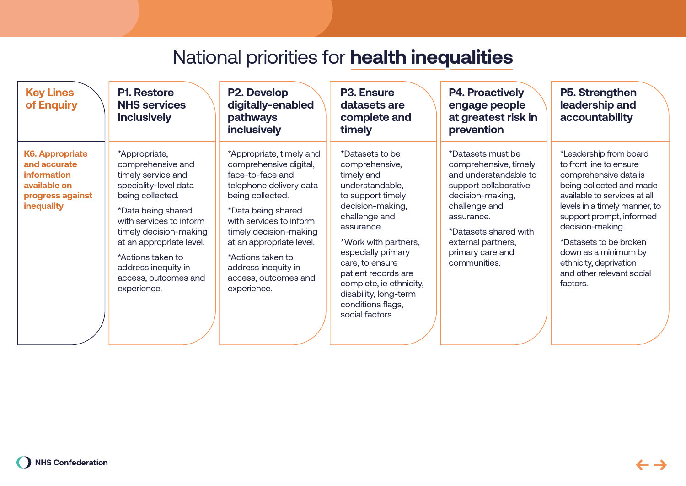| <b>Key Lines</b><br>of Enquiry                                                                                 | <b>P1. Restore</b><br><b>NHS services</b><br><b>Inclusively</b>                                                                                                                                                                                                                                 | P2. Develop<br>digitally-enabled<br>pathways<br><b>inclusively</b>                                                                                                                                                                                                                                              | <b>P3. Ensure</b><br>datasets are<br>complete and<br>timely                                                                                                                                                                                                                                                                    | <b>P4. Proactively</b><br>engage people<br>at greatest risk in<br>prevention                                                                                                                                                       | P5. Strengthen<br>leadership and<br>accountability                                                                                                                                                                                                                                                                                           |
|----------------------------------------------------------------------------------------------------------------|-------------------------------------------------------------------------------------------------------------------------------------------------------------------------------------------------------------------------------------------------------------------------------------------------|-----------------------------------------------------------------------------------------------------------------------------------------------------------------------------------------------------------------------------------------------------------------------------------------------------------------|--------------------------------------------------------------------------------------------------------------------------------------------------------------------------------------------------------------------------------------------------------------------------------------------------------------------------------|------------------------------------------------------------------------------------------------------------------------------------------------------------------------------------------------------------------------------------|----------------------------------------------------------------------------------------------------------------------------------------------------------------------------------------------------------------------------------------------------------------------------------------------------------------------------------------------|
| <b>K6. Appropriate</b><br>and accurate<br><b>information</b><br>available on<br>progress against<br>inequality | *Appropriate,<br>comprehensive and<br>timely service and<br>speciality-level data<br>being collected.<br>*Data being shared<br>with services to inform<br>timely decision-making<br>at an appropriate level.<br>*Actions taken to<br>address inequity in<br>access, outcomes and<br>experience. | *Appropriate, timely and<br>comprehensive digital,<br>face-to-face and<br>telephone delivery data<br>being collected.<br>*Data being shared<br>with services to inform<br>timely decision-making<br>at an appropriate level.<br>*Actions taken to<br>address inequity in<br>access, outcomes and<br>experience. | *Datasets to be<br>comprehensive,<br>timely and<br>understandable,<br>to support timely<br>decision-making,<br>challenge and<br>assurance.<br>*Work with partners,<br>especially primary<br>care, to ensure<br>patient records are<br>complete, ie ethnicity,<br>disability, long-term<br>conditions flags,<br>social factors. | *Datasets must be<br>comprehensive, timely<br>and understandable to<br>support collaborative<br>decision-making,<br>challenge and<br>assurance.<br>*Datasets shared with<br>external partners,<br>primary care and<br>communities. | *Leadership from board<br>to front line to ensure<br>comprehensive data is<br>being collected and made<br>available to services at all<br>levels in a timely manner, to<br>support prompt, informed<br>decision-making.<br>*Datasets to be broken<br>down as a minimum by<br>ethnicity, deprivation<br>and other relevant social<br>factors. |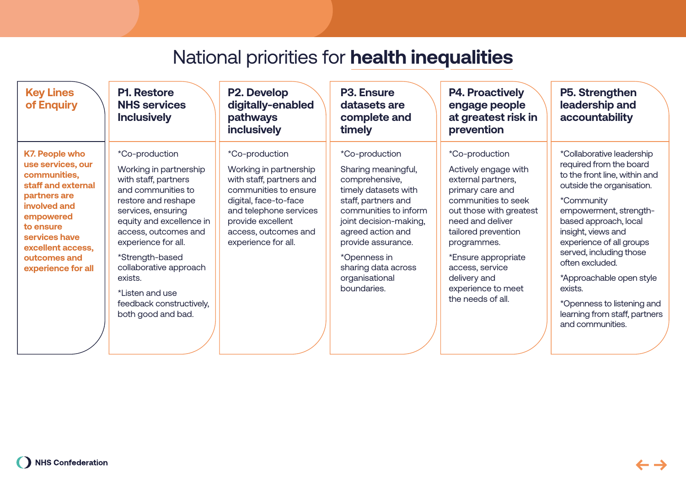| <b>Key Lines</b><br>of Enquiry                                                                                                                                                                                         | <b>P1. Restore</b><br><b>NHS services</b><br><b>Inclusively</b>                                                                                                                                                                                                                                                                             | P2. Develop<br>digitally-enabled<br>pathways<br><b>inclusively</b>                                                                                                                                                   | <b>P3. Ensure</b><br>datasets are<br>complete and<br>timely                                                                                                                                                                                                                  | <b>P4. Proactively</b><br>engage people<br>at greatest risk in<br>prevention                                                                                                                                                                                                                      | P5. Strengthen<br>leadership and<br>accountability                                                                                                                                                                                                                                                                                                                                                            |
|------------------------------------------------------------------------------------------------------------------------------------------------------------------------------------------------------------------------|---------------------------------------------------------------------------------------------------------------------------------------------------------------------------------------------------------------------------------------------------------------------------------------------------------------------------------------------|----------------------------------------------------------------------------------------------------------------------------------------------------------------------------------------------------------------------|------------------------------------------------------------------------------------------------------------------------------------------------------------------------------------------------------------------------------------------------------------------------------|---------------------------------------------------------------------------------------------------------------------------------------------------------------------------------------------------------------------------------------------------------------------------------------------------|---------------------------------------------------------------------------------------------------------------------------------------------------------------------------------------------------------------------------------------------------------------------------------------------------------------------------------------------------------------------------------------------------------------|
| <b>K7. People who</b><br>use services, our<br>communities,<br>staff and external<br>partners are<br>involved and<br>empowered<br>to ensure<br>services have<br>excellent access,<br>outcomes and<br>experience for all | *Co-production<br>Working in partnership<br>with staff, partners<br>and communities to<br>restore and reshape<br>services, ensuring<br>equity and excellence in<br>access, outcomes and<br>experience for all.<br>*Strength-based<br>collaborative approach<br>exists.<br>*Listen and use<br>feedback constructively,<br>both good and bad. | *Co-production<br>Working in partnership<br>with staff, partners and<br>communities to ensure<br>digital, face-to-face<br>and telephone services<br>provide excellent<br>access, outcomes and<br>experience for all. | *Co-production<br>Sharing meaningful,<br>comprehensive,<br>timely datasets with<br>staff, partners and<br>communities to inform<br>joint decision-making,<br>agreed action and<br>provide assurance.<br>*Openness in<br>sharing data across<br>organisational<br>boundaries. | *Co-production<br>Actively engage with<br>external partners,<br>primary care and<br>communities to seek<br>out those with greatest<br>need and deliver<br>tailored prevention<br>programmes.<br>*Ensure appropriate<br>access, service<br>delivery and<br>experience to meet<br>the needs of all. | *Collaborative leadership<br>required from the board<br>to the front line, within and<br>outside the organisation.<br>*Community<br>empowerment, strength-<br>based approach, local<br>insight, views and<br>experience of all groups<br>served, including those<br>often excluded.<br>*Approachable open style<br>exists.<br>*Openness to listening and<br>learning from staff, partners<br>and communities. |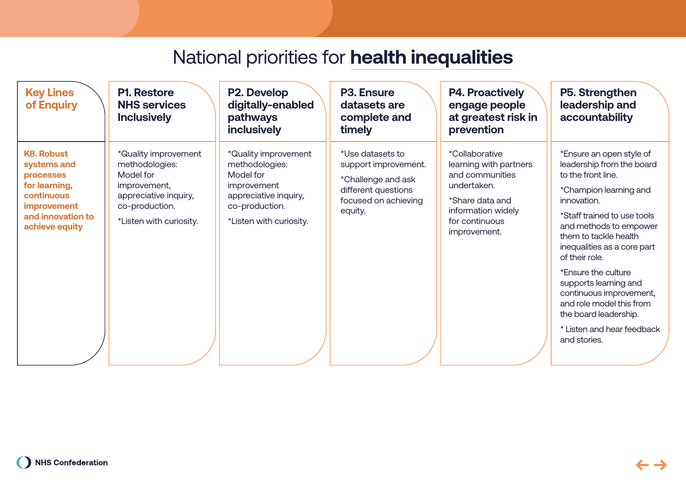| <b>Key Lines</b><br>of Enquiry                                                                                                                         | <b>P1. Restore</b><br><b>NHS services</b><br><b>Inclusively</b><br>pathways<br>inclusively                                                                                 | P2. Develop<br>digitally-enabled                                                           | <b>P3. Ensure</b><br>datasets are<br>complete and<br>timely                                                              | <b>P4. Proactively</b><br>engage people<br>at greatest risk in<br>prevention                                                                                 | P5. Strengthen<br>leadership and<br>accountability                                                                                                                                                                                                                                                                                                                                                                                    |
|--------------------------------------------------------------------------------------------------------------------------------------------------------|----------------------------------------------------------------------------------------------------------------------------------------------------------------------------|--------------------------------------------------------------------------------------------|--------------------------------------------------------------------------------------------------------------------------|--------------------------------------------------------------------------------------------------------------------------------------------------------------|---------------------------------------------------------------------------------------------------------------------------------------------------------------------------------------------------------------------------------------------------------------------------------------------------------------------------------------------------------------------------------------------------------------------------------------|
| <b>K8. Robust</b><br>systems and<br>Model for<br><b>processes</b><br>for learning,<br>continuous<br>improvement<br>and innovation to<br>achieve equity | *Quality improvement<br>methodologies:<br>Model for<br>improvement,<br>improvement<br>appreciative inquiry,<br>co-production.<br>co-production.<br>*Listen with curiosity. | *Quality improvement<br>methodologies:<br>appreciative inquiry,<br>*Listen with curiosity. | *Use datasets to<br>support improvement.<br>*Challenge and ask<br>different questions<br>focused on achieving<br>equity. | <i>*Collaborative</i><br>learning with partners<br>and communities<br>undertaken.<br>*Share data and<br>information widely<br>for continuous<br>improvement. | *Ensure an open style of<br>leadership from the board<br>to the front line.<br>*Champion learning and<br>innovation.<br>*Staff trained to use tools<br>and methods to empower<br>them to tackle health<br>inequalities as a core part<br>of their role.<br>*Ensure the culture<br>supports learning and<br>continuous improvement,<br>and role model this from<br>the board leadership.<br>* Listen and hear feedback<br>and stories. |